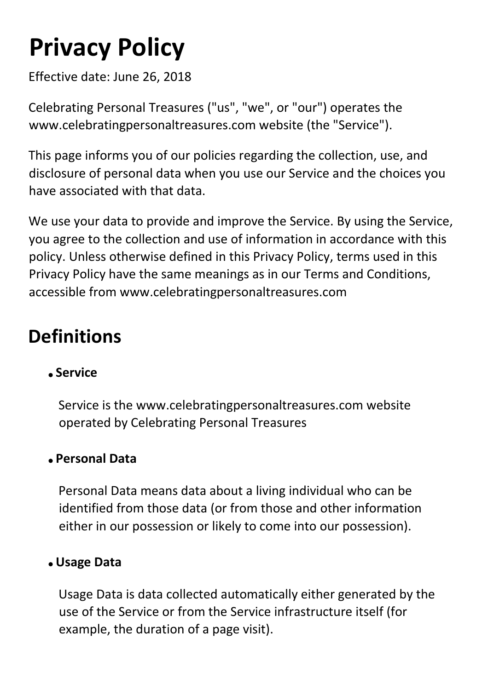# **Privacy Policy**

Effective date: June 26, 2018

Celebrating Personal Treasures ("us", "we", or "our") operates the www.celebratingpersonaltreasures.com website (the "Service").

This page informs you of our policies regarding the collection, use, and disclosure of personal data when you use our Service and the choices you have associated with that data.

We use your data to provide and improve the Service. By using the Service, you agree to the collection and use of information in accordance with this policy. Unless otherwise defined in this Privacy Policy, terms used in this Privacy Policy have the same meanings as in our Terms and Conditions, accessible from www.celebratingpersonaltreasures.com

### **Definitions**

### **Service**

Service is the www.celebratingpersonaltreasures.com website operated by Celebrating Personal Treasures

#### **Personal Data**

Personal Data means data about a living individual who can be identified from those data (or from those and other information either in our possession or likely to come into our possession).

#### **Usage Data**

Usage Data is data collected automatically either generated by the use of the Service or from the Service infrastructure itself (for example, the duration of a page visit).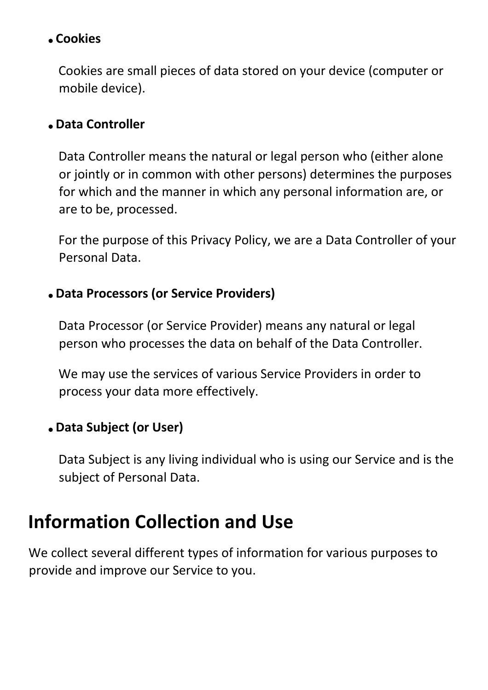#### **Cookies**

Cookies are small pieces of data stored on your device (computer or mobile device).

#### **Data Controller**

Data Controller means the natural or legal person who (either alone or jointly or in common with other persons) determines the purposes for which and the manner in which any personal information are, or are to be, processed.

For the purpose of this Privacy Policy, we are a Data Controller of your Personal Data.

#### **Data Processors (or Service Providers)**

Data Processor (or Service Provider) means any natural or legal person who processes the data on behalf of the Data Controller.

We may use the services of various Service Providers in order to process your data more effectively.

#### **Data Subject (or User)**

Data Subject is any living individual who is using our Service and is the subject of Personal Data.

### **Information Collection and Use**

We collect several different types of information for various purposes to provide and improve our Service to you.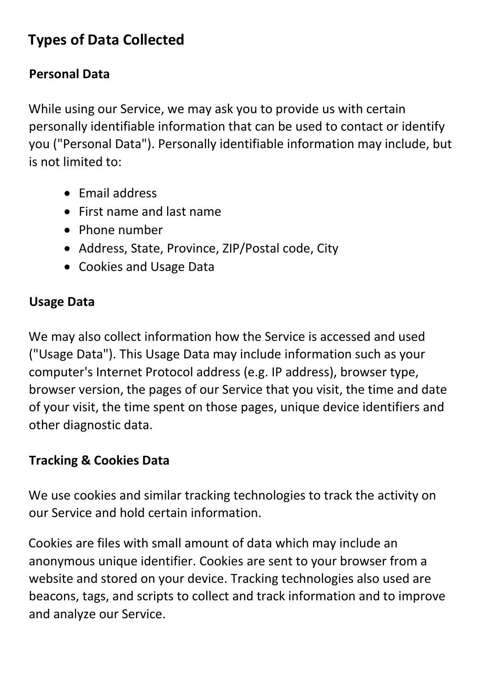### **Types of Data Collected**

### **Personal Data**

While using our Service, we may ask you to provide us with certain personally identifiable information that can be used to contact or identify you ("Personal Data"). Personally identifiable information may include, but is not limited to:

- Email address
- First name and last name
- Phone number
- Address, State, Province, ZIP/Postal code, City
- Cookies and Usage Data

### **Usage Data**

We may also collect information how the Service is accessed and used ("Usage Data"). This Usage Data may include information such as your computer's Internet Protocol address (e.g. IP address), browser type, browser version, the pages of our Service that you visit, the time and date of your visit, the time spent on those pages, unique device identifiers and other diagnostic data.

### **Tracking & Cookies Data**

We use cookies and similar tracking technologies to track the activity on our Service and hold certain information.

Cookies are files with small amount of data which may include an anonymous unique identifier. Cookies are sent to your browser from a website and stored on your device. Tracking technologies also used are beacons, tags, and scripts to collect and track information and to improve and analyze our Service.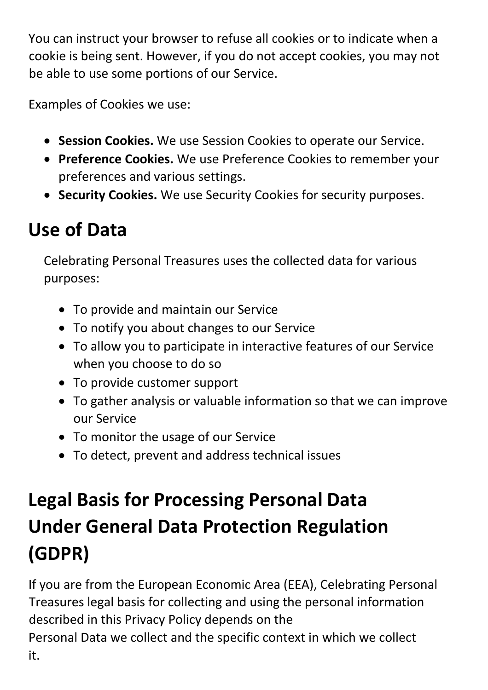You can instruct your browser to refuse all cookies or to indicate when a cookie is being sent. However, if you do not accept cookies, you may not be able to use some portions of our Service.

Examples of Cookies we use:

- **Session Cookies.** We use Session Cookies to operate our Service.
- **Preference Cookies.** We use Preference Cookies to remember your preferences and various settings.
- **Security Cookies.** We use Security Cookies for security purposes.

### **Use of Data**

Celebrating Personal Treasures uses the collected data for various purposes:

- To provide and maintain our Service
- To notify you about changes to our Service
- To allow you to participate in interactive features of our Service when you choose to do so
- To provide customer support
- To gather analysis or valuable information so that we can improve our Service
- To monitor the usage of our Service
- To detect, prevent and address technical issues

# **Legal Basis for Processing Personal Data Under General Data Protection Regulation (GDPR)**

If you are from the European Economic Area (EEA), Celebrating Personal Treasures legal basis for collecting and using the personal information described in this Privacy Policy depends on the Personal Data we collect and the specific context in which we collect it.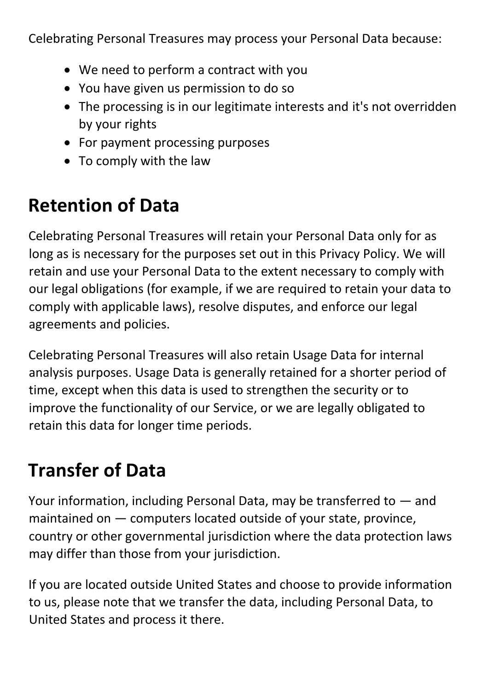Celebrating Personal Treasures may process your Personal Data because:

- We need to perform a contract with you
- You have given us permission to do so
- The processing is in our legitimate interests and it's not overridden by your rights
- For payment processing purposes
- To comply with the law

# **Retention of Data**

Celebrating Personal Treasures will retain your Personal Data only for as long as is necessary for the purposes set out in this Privacy Policy. We will retain and use your Personal Data to the extent necessary to comply with our legal obligations (for example, if we are required to retain your data to comply with applicable laws), resolve disputes, and enforce our legal agreements and policies.

Celebrating Personal Treasures will also retain Usage Data for internal analysis purposes. Usage Data is generally retained for a shorter period of time, except when this data is used to strengthen the security or to improve the functionality of our Service, or we are legally obligated to retain this data for longer time periods.

# **Transfer of Data**

Your information, including Personal Data, may be transferred to — and maintained on — computers located outside of your state, province, country or other governmental jurisdiction where the data protection laws may differ than those from your jurisdiction.

If you are located outside United States and choose to provide information to us, please note that we transfer the data, including Personal Data, to United States and process it there.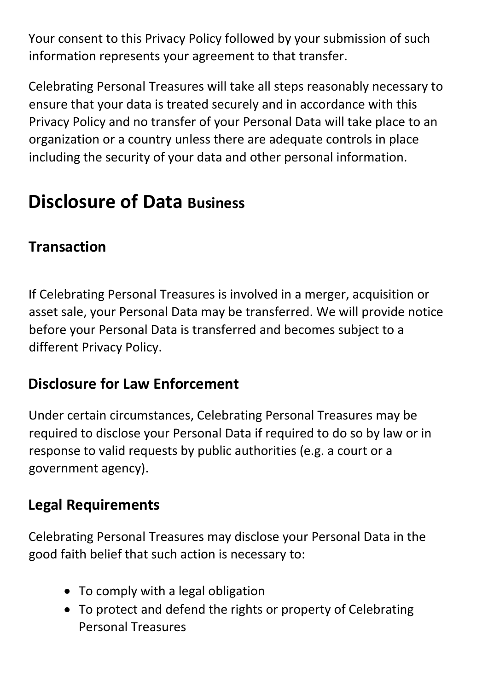Your consent to this Privacy Policy followed by your submission of such information represents your agreement to that transfer.

Celebrating Personal Treasures will take all steps reasonably necessary to ensure that your data is treated securely and in accordance with this Privacy Policy and no transfer of your Personal Data will take place to an organization or a country unless there are adequate controls in place including the security of your data and other personal information.

### **Disclosure of Data Business**

### **Transaction**

If Celebrating Personal Treasures is involved in a merger, acquisition or asset sale, your Personal Data may be transferred. We will provide notice before your Personal Data is transferred and becomes subject to a different Privacy Policy.

### **Disclosure for Law Enforcement**

Under certain circumstances, Celebrating Personal Treasures may be required to disclose your Personal Data if required to do so by law or in response to valid requests by public authorities (e.g. a court or a government agency).

### **Legal Requirements**

Celebrating Personal Treasures may disclose your Personal Data in the good faith belief that such action is necessary to:

- To comply with a legal obligation
- To protect and defend the rights or property of Celebrating Personal Treasures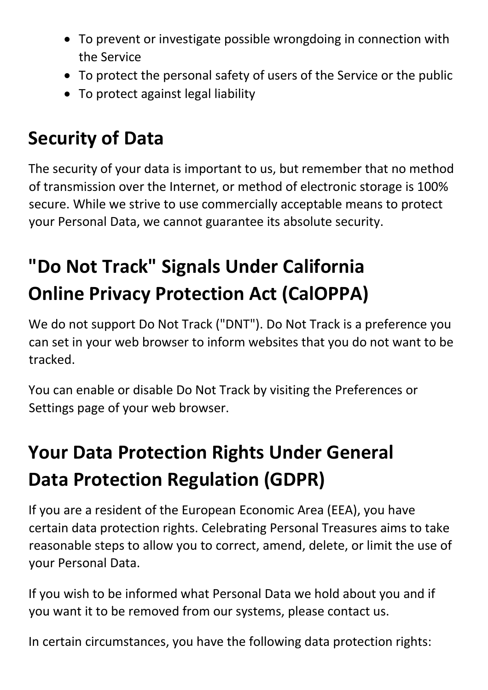- To prevent or investigate possible wrongdoing in connection with the Service
- To protect the personal safety of users of the Service or the public
- To protect against legal liability

### **Security of Data**

The security of your data is important to us, but remember that no method of transmission over the Internet, or method of electronic storage is 100% secure. While we strive to use commercially acceptable means to protect your Personal Data, we cannot guarantee its absolute security.

# **"Do Not Track" Signals Under California Online Privacy Protection Act (CalOPPA)**

We do not support Do Not Track ("DNT"). Do Not Track is a preference you can set in your web browser to inform websites that you do not want to be tracked.

You can enable or disable Do Not Track by visiting the Preferences or Settings page of your web browser.

# **Your Data Protection Rights Under General Data Protection Regulation (GDPR)**

If you are a resident of the European Economic Area (EEA), you have certain data protection rights. Celebrating Personal Treasures aims to take reasonable steps to allow you to correct, amend, delete, or limit the use of your Personal Data.

If you wish to be informed what Personal Data we hold about you and if you want it to be removed from our systems, please contact us.

In certain circumstances, you have the following data protection rights: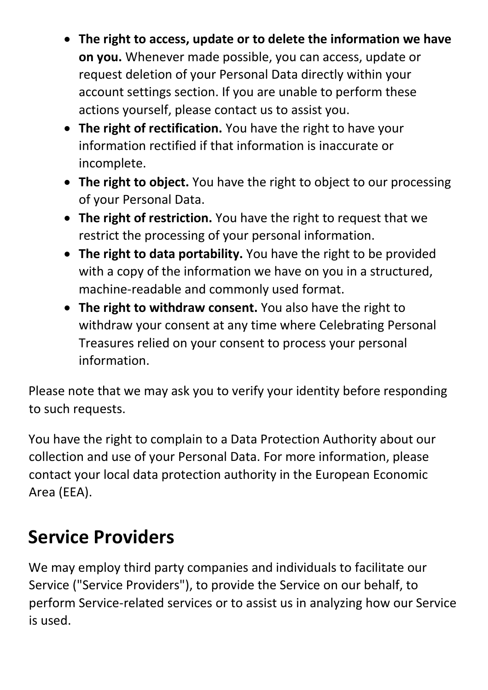- **The right to access, update or to delete the information we have on you.** Whenever made possible, you can access, update or request deletion of your Personal Data directly within your account settings section. If you are unable to perform these actions yourself, please contact us to assist you.
- **The right of rectification.** You have the right to have your information rectified if that information is inaccurate or incomplete.
- **The right to object.** You have the right to object to our processing of your Personal Data.
- **The right of restriction.** You have the right to request that we restrict the processing of your personal information.
- **The right to data portability.** You have the right to be provided with a copy of the information we have on you in a structured, machine-readable and commonly used format.
- **The right to withdraw consent.** You also have the right to withdraw your consent at any time where Celebrating Personal Treasures relied on your consent to process your personal information.

Please note that we may ask you to verify your identity before responding to such requests.

You have the right to complain to a Data Protection Authority about our collection and use of your Personal Data. For more information, please contact your local data protection authority in the European Economic Area (EEA).

### **Service Providers**

We may employ third party companies and individuals to facilitate our Service ("Service Providers"), to provide the Service on our behalf, to perform Service-related services or to assist us in analyzing how our Service is used.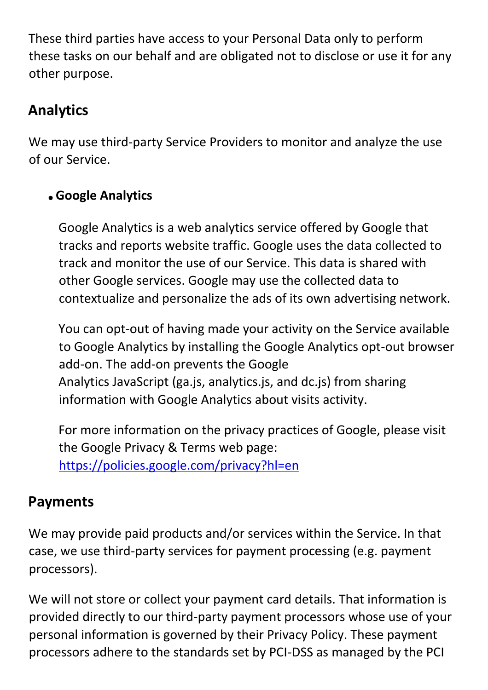These third parties have access to your Personal Data only to perform these tasks on our behalf and are obligated not to disclose or use it for any other purpose.

### **Analytics**

We may use third-party Service Providers to monitor and analyze the use of our Service.

### **Google Analytics**

Google Analytics is a web analytics service offered by Google that tracks and reports website traffic. Google uses the data collected to track and monitor the use of our Service. This data is shared with other Google services. Google may use the collected data to contextualize and personalize the ads of its own advertising network.

You can opt-out of having made your activity on the Service available to Google Analytics by installing the Google Analytics opt-out browser add-on. The add-on prevents the Google Analytics JavaScript (ga.js, analytics.js, and dc.js) from sharing information with Google Analytics about visits activity.

For more information on the privacy practices of Google, please visit the Google Privacy & Terms web page: <https://policies.google.com/privacy?hl=en>

### **Payments**

We may provide paid products and/or services within the Service. In that case, we use third-party services for payment processing (e.g. payment processors).

We will not store or collect your payment card details. That information is provided directly to our third-party payment processors whose use of your personal information is governed by their Privacy Policy. These payment processors adhere to the standards set by PCI-DSS as managed by the PCI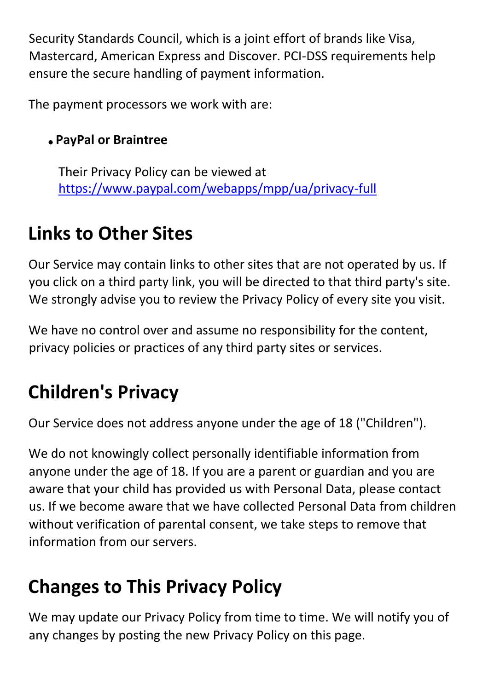Security Standards Council, which is a joint effort of brands like Visa, Mastercard, American Express and Discover. PCI-DSS requirements help ensure the secure handling of payment information.

The payment processors we work with are:

### **PayPal or Braintree**

Their Privacy Policy can be viewed at <https://www.paypal.com/webapps/mpp/ua/privacy-full>

# **Links to Other Sites**

Our Service may contain links to other sites that are not operated by us. If you click on a third party link, you will be directed to that third party's site. We strongly advise you to review the Privacy Policy of every site you visit.

We have no control over and assume no responsibility for the content, privacy policies or practices of any third party sites or services.

# **Children's Privacy**

Our Service does not address anyone under the age of 18 ("Children").

We do not knowingly collect personally identifiable information from anyone under the age of 18. If you are a parent or guardian and you are aware that your child has provided us with Personal Data, please contact us. If we become aware that we have collected Personal Data from children without verification of parental consent, we take steps to remove that information from our servers.

# **Changes to This Privacy Policy**

We may update our Privacy Policy from time to time. We will notify you of any changes by posting the new Privacy Policy on this page.